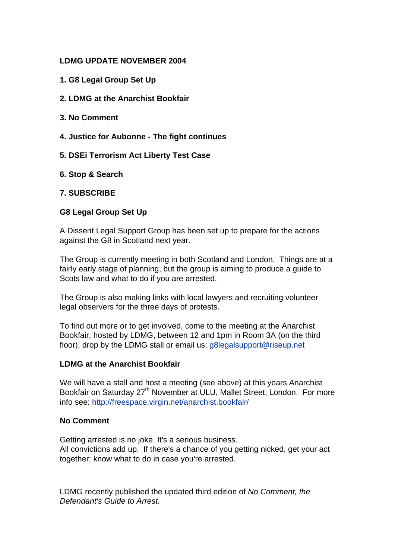## **LDMG UPDATE NOVEMBER 2004**

- **1. G8 Legal Group Set Up**
- **2. LDMG at the Anarchist Bookfair**
- **3. No Comment**
- **4. Justice for Aubonne The fight continues**
- **5. DSEi Terrorism Act Liberty Test Case**
- **6. Stop & Search**

### **7. SUBSCRIBE**

### **G8 Legal Group Set Up**

A Dissent Legal Support Group has been set up to prepare for the actions against the G8 in Scotland next year.

The Group is currently meeting in both Scotland and London. Things are at a fairly early stage of planning, but the group is aiming to produce a guide to Scots law and what to do if you are arrested.

The Group is also making links with local lawyers and recruiting volunteer legal observers for the three days of protests.

To find out more or to get involved, come to the meeting at the Anarchist Bookfair, hosted by LDMG, between 12 and 1pm in Room 3A (on the third floor), drop by the LDMG stall or email us: [g8legalsupport@riseup.net](http://uk.f862.mail.yahoo.com/ym/Compose?To=g8legalsupport@riseup.net)

### **LDMG at the Anarchist Bookfair**

We will have a stall and host a meeting (see above) at this years Anarchist Bookfair on Saturday 27<sup>th</sup> November at ULU, Mallet Street, London. For more info see: <http://freespace.virgin.net/anarchist.bookfair/>

### **No Comment**

Getting arrested is no joke. It's a serious business. All convictions add up. If there's a chance of you getting nicked, get your act together: know what to do in case you're arrested.

LDMG recently published the updated third edition of *[No Comment, the](http://www2.phreak.co.uk/ldmg/No Comment_3rd_Edition1.pdf)  [Defendant's Guide to Arrest.](http://www2.phreak.co.uk/ldmg/No Comment_3rd_Edition1.pdf)*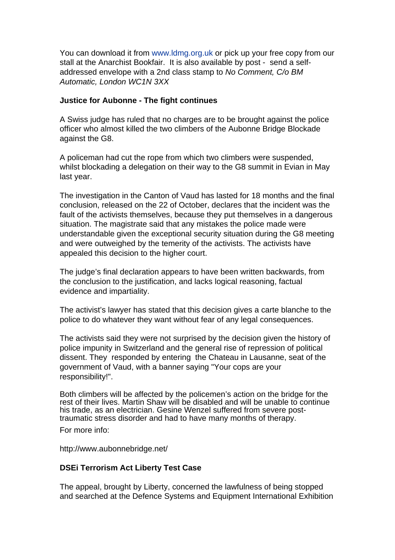You can download it from [www.ldmg.org.uk](http://www.ldmg.org.uk/) or pick up your free copy from our stall at the Anarchist Bookfair. It is also available by post - send a selfaddressed envelope with a 2nd class stamp to *No Comment, C/o BM Automatic, London WC1N 3XX*

### **Justice for Aubonne - The fight continues**

A Swiss judge has ruled that no charges are to be brought against the police officer who almost killed the two climbers of the Aubonne Bridge Blockade against the G8.

A policeman had cut the rope from which two climbers were suspended, whilst blockading a delegation on their way to the G8 summit in Evian in May last year.

The investigation in the Canton of Vaud has lasted for 18 months and the final conclusion, released on the 22 of October, declares that the incident was the fault of the activists themselves, because they put themselves in a dangerous situation. The magistrate said that any mistakes the police made were understandable given the exceptional security situation during the G8 meeting and were outweighed by the temerity of the activists. The activists have appealed this decision to the higher court.

The judge's final declaration appears to have been written backwards, from the conclusion to the justification, and lacks logical reasoning, factual evidence and impartiality.

The activist's lawyer has stated that this decision gives a carte blanche to the police to do whatever they want without fear of any legal consequences.

The activists said they were not surprised by the decision given the history of police impunity in Switzerland and the general rise of repression of political dissent. They responded by entering the Chateau in Lausanne, seat of the government of Vaud, with a banner saying "Your cops are your responsibility!".

Both climbers will be affected by the policemen's action on the bridge for the rest of their lives. Martin Shaw will be disabled and will be unable to continue his trade, as an electrician. Gesine Wenzel suffered from severe posttraumatic stress disorder and had to have many months of therapy.

For more info:

<http://www.aubonnebridge.net/>

### **DSEi Terrorism Act Liberty Test Case**

The appeal, brought by Liberty, concerned the lawfulness of being stopped and searched at the Defence Systems and Equipment International Exhibition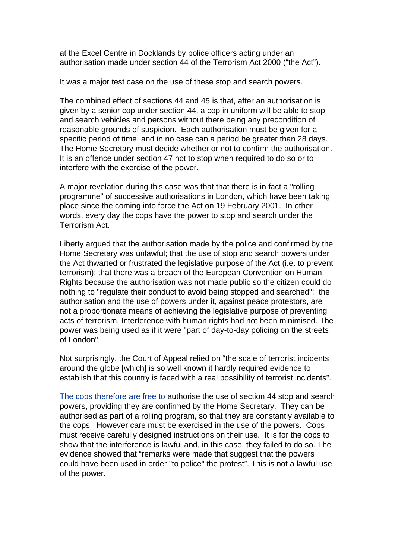at the Excel Centre in Docklands by police officers acting under an authorisation made under section 44 of the Terrorism Act 2000 ("the Act").

It was a major test case on the use of these stop and search powers.

The combined effect of sections 44 and 45 is that, after an authorisation is given by a senior cop under section 44, a cop in uniform will be able to stop and search vehicles and persons without there being any precondition of reasonable grounds of suspicion. Each authorisation must be given for a specific period of time, and in no case can a period be greater than 28 days. The Home Secretary must decide whether or not to confirm the authorisation. It is an offence under section 47 not to stop when required to do so or to interfere with the exercise of the power.

A major revelation during this case was that that there is in fact a "rolling programme" of successive authorisations in London, which have been taking place since the coming into force the Act on 19 February 2001. In other words, every day the cops have the power to stop and search under the Terrorism Act.

Liberty argued that the authorisation made by the police and confirmed by the Home Secretary was unlawful; that the use of stop and search powers under the Act thwarted or frustrated the legislative purpose of the Act (i.e. to prevent terrorism); that there was a breach of the European Convention on Human Rights because the authorisation was not made public so the citizen could do nothing to "regulate their conduct to avoid being stopped and searched"; the authorisation and the use of powers under it, against peace protestors, are not a proportionate means of achieving the legislative purpose of preventing acts of terrorism. Interference with human rights had not been minimised. The power was being used as if it were "part of day-to-day policing on the streets of London".

Not surprisingly, the Court of Appeal relied on "the scale of terrorist incidents around the globe [which] is so well known it hardly required evidence to establish that this country is faced with a real possibility of terrorist incidents".

The cops therefore are free to authorise the use of section 44 stop and search powers, providing they are confirmed by the Home Secretary. They can be authorised as part of a rolling program, so that they are constantly available to the cops. However care must be exercised in the use of the powers. Cops must receive carefully designed instructions on their use. It is for the cops to show that the interference is lawful and, in this case, they failed to do so. The evidence showed that "remarks were made that suggest that the powers could have been used in order "to police" the protest". This is not a lawful use of the power.